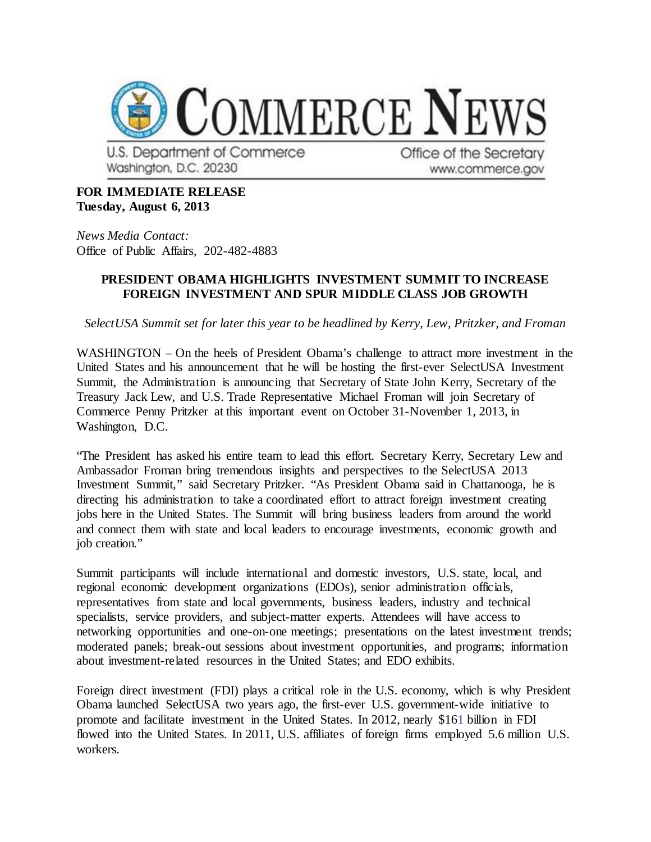

U.S. Department of Commerce Washington, D.C. 20230

Office of the Secretary www.commerce.gov

## **FOR IMMEDIATE RELEASE Tuesday, August 6, 2013**

*News Media Contact:* Office of Public Affairs, 202-482-4883

## **PRESIDENT OBAMA HIGHLIGHTS INVESTMENT SUMMIT TO INCREASE FOREIGN INVESTMENT AND SPUR MIDDLE CLASS JOB GROWTH**

*SelectUSA Summit set for later this year to be headlined by Kerry, Lew, Pritzker, and Froman*

WASHINGTON – On the heels of President Obama's challenge to attract more investment in the United States and his announcement that he will be hosting the first-ever SelectUSA Investment Summit, the Administration is announcing that Secretary of State John Kerry, Secretary of the Treasury Jack Lew, and U.S. Trade Representative Michael Froman will join Secretary of Commerce Penny Pritzker at this important event on October 31-November 1, 2013, in Washington, D.C.

"The President has asked his entire team to lead this effort. Secretary Kerry, Secretary Lew and Ambassador Froman bring tremendous insights and perspectives to the SelectUSA 2013 Investment Summit," said Secretary Pritzker. "As President Obama said in Chattanooga, he is directing his administration to take a coordinated effort to attract foreign investment creating jobs here in the United States. The Summit will bring business leaders from around the world and connect them with state and local leaders to encourage investments, economic growth and job creation."

Summit participants will include international and domestic investors, U.S. state, local, and regional economic development organizations (EDOs), senior administration officials, representatives from state and local governments, business leaders, industry and technical specialists, service providers, and subject-matter experts. Attendees will have access to networking opportunities and one-on-one meetings; presentations on the latest investment trends; moderated panels; break-out sessions about investment opportunities, and programs; information about investment-related resources in the United States; and EDO exhibits.

Foreign direct investment (FDI) plays a critical role in the U.S. economy, which is why President Obama launched SelectUSA two years ago, the first-ever U.S. government-wide initiative to promote and facilitate investment in the United States. In 2012, nearly \$161 billion in FDI flowed into the United States. In 2011, U.S. affiliates of foreign firms employed 5.6 million U.S. workers.